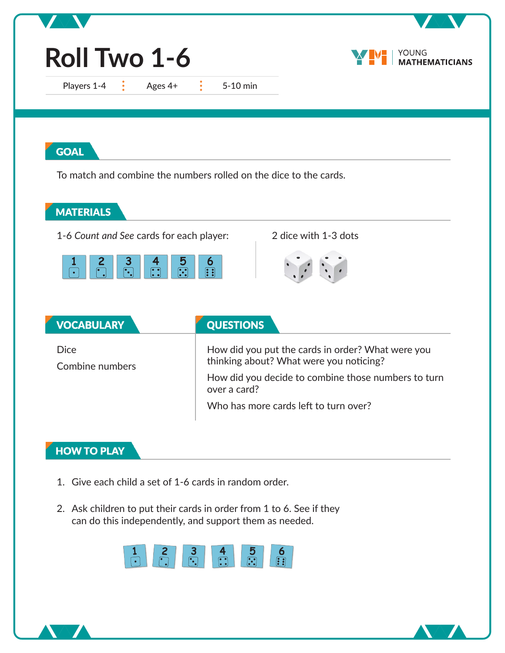| Roll Two 1-6                                                                                                            |                                                                                                                                | YOUNG<br><b>MATHEMATICIANS</b> |
|-------------------------------------------------------------------------------------------------------------------------|--------------------------------------------------------------------------------------------------------------------------------|--------------------------------|
| Players 1-4<br>Ages 4+<br>$\mathbb{R}$                                                                                  | $\frac{1}{2}$ .<br>5-10 min                                                                                                    |                                |
| <b>GOAL</b>                                                                                                             |                                                                                                                                |                                |
|                                                                                                                         | To match and combine the numbers rolled on the dice to the cards.                                                              |                                |
| <b>MATERIALS</b>                                                                                                        |                                                                                                                                |                                |
| 1-6 Count and See cards for each player:                                                                                | 2 dice with 1-3 dots                                                                                                           |                                |
| $\frac{3}{\sqrt{2}}$<br>2<br>4<br>$\begin{array}{ c } \hline \bullet & \bullet \\ \hline \bullet & \bullet \end{array}$ | 5<br>$\boldsymbol{6}$<br>$\boxed{\cdot \cdot}$<br>$\boxed{\cdot \cdot \cdot}$                                                  |                                |
|                                                                                                                         |                                                                                                                                |                                |
| <b>VOCABULARY</b>                                                                                                       | <b>QUESTIONS</b>                                                                                                               |                                |
| <b>Dice</b><br>Combine numbers                                                                                          | How did you put the cards in order? What were you<br>thinking about? What were you noticing?                                   |                                |
|                                                                                                                         | How did you decide to combine those numbers to turn<br>over a card?                                                            |                                |
|                                                                                                                         | Who has more cards left to turn over?                                                                                          |                                |
|                                                                                                                         |                                                                                                                                |                                |
| <b>HOW TO PLAY</b>                                                                                                      |                                                                                                                                |                                |
| 1. Give each child a set of 1-6 cards in random order.                                                                  |                                                                                                                                |                                |
|                                                                                                                         | 2. Ask children to put their cards in order from 1 to 6. See if they<br>can do this independently, and support them as needed. |                                |
|                                                                                                                         | 5<br>6<br>3                                                                                                                    |                                |

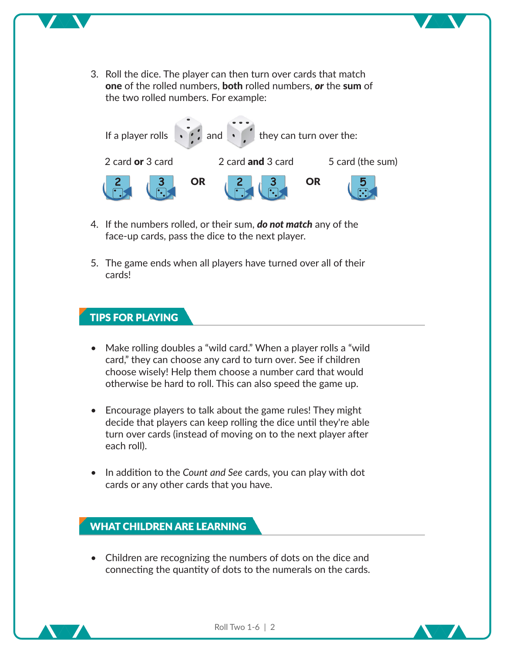3. Roll the dice. The player can then turn over cards that match one of the rolled numbers, both rolled numbers, *or* the sum of the two rolled numbers. For example:



- 4. If the numbers rolled, or their sum, *do not match* any of the face-up cards, pass the dice to the next player.
- 5. The game ends when all players have turned over all of their cards!

#### **TIPS FOR PLAYING**

- Make rolling doubles a "wild card." When a player rolls a "wild card," they can choose any card to turn over. See if children choose wisely! Help them choose a number card that would otherwise be hard to roll. This can also speed the game up.
- Encourage players to talk about the game rules! They might decide that players can keep rolling the dice until they're able turn over cards (instead of moving on to the next player after each roll).
- In addition to the *Count and See* cards, you can play with dot cards or any other cards that you have.

#### **WHAT CHILDREN ARE LEARNING**

• Children are recognizing the numbers of dots on the dice and connecting the quantity of dots to the numerals on the cards.